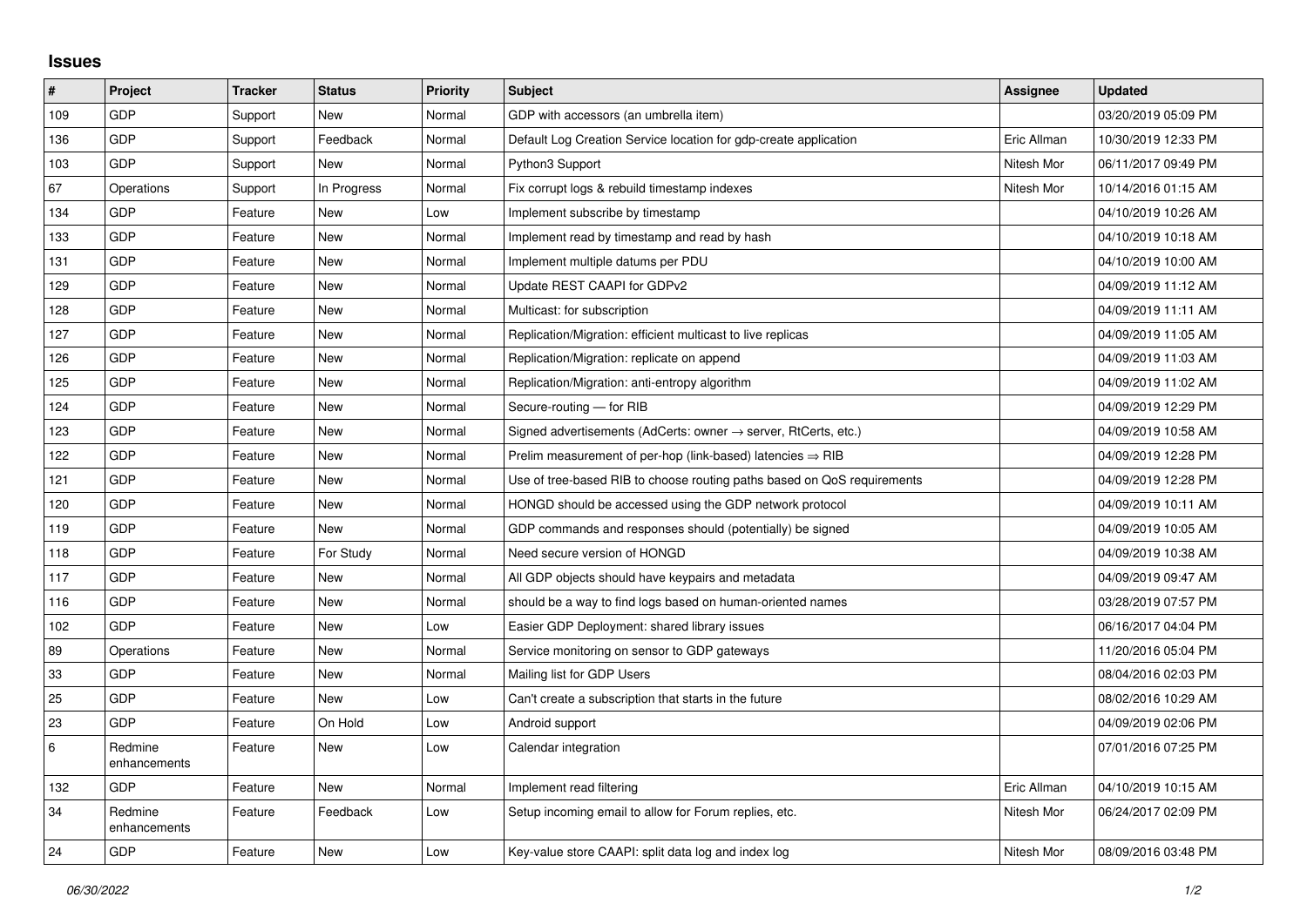## **Issues**

| #   | Project                 | <b>Tracker</b> | <b>Status</b> | <b>Priority</b> | <b>Subject</b>                                                          | Assignee    | <b>Updated</b>      |
|-----|-------------------------|----------------|---------------|-----------------|-------------------------------------------------------------------------|-------------|---------------------|
| 109 | GDP                     | Support        | <b>New</b>    | Normal          | GDP with accessors (an umbrella item)                                   |             | 03/20/2019 05:09 PM |
| 136 | GDP                     | Support        | Feedback      | Normal          | Default Log Creation Service location for gdp-create application        | Eric Allman | 10/30/2019 12:33 PM |
| 103 | GDP                     | Support        | <b>New</b>    | Normal          | Python3 Support                                                         | Nitesh Mor  | 06/11/2017 09:49 PM |
| 67  | Operations              | Support        | In Progress   | Normal          | Fix corrupt logs & rebuild timestamp indexes                            | Nitesh Mor  | 10/14/2016 01:15 AM |
| 134 | GDP                     | Feature        | <b>New</b>    | Low             | Implement subscribe by timestamp                                        |             | 04/10/2019 10:26 AM |
| 133 | GDP                     | Feature        | New           | Normal          | Implement read by timestamp and read by hash                            |             | 04/10/2019 10:18 AM |
| 131 | GDP                     | Feature        | <b>New</b>    | Normal          | Implement multiple datums per PDU                                       |             | 04/10/2019 10:00 AM |
| 129 | GDP                     | Feature        | New           | Normal          | Update REST CAAPI for GDPv2                                             |             | 04/09/2019 11:12 AM |
| 128 | GDP                     | Feature        | <b>New</b>    | Normal          | Multicast: for subscription                                             |             | 04/09/2019 11:11 AM |
| 127 | GDP                     | Feature        | <b>New</b>    | Normal          | Replication/Migration: efficient multicast to live replicas             |             | 04/09/2019 11:05 AM |
| 126 | GDP                     | Feature        | <b>New</b>    | Normal          | Replication/Migration: replicate on append                              |             | 04/09/2019 11:03 AM |
| 125 | GDP                     | Feature        | <b>New</b>    | Normal          | Replication/Migration: anti-entropy algorithm                           |             | 04/09/2019 11:02 AM |
| 124 | GDP                     | Feature        | New           | Normal          | Secure-routing - for RIB                                                |             | 04/09/2019 12:29 PM |
| 123 | GDP                     | Feature        | <b>New</b>    | Normal          | Signed advertisements (AdCerts: owner → server, RtCerts, etc.)          |             | 04/09/2019 10:58 AM |
| 122 | GDP                     | Feature        | <b>New</b>    | Normal          | Prelim measurement of per-hop (link-based) latencies $\Rightarrow$ RIB  |             | 04/09/2019 12:28 PM |
| 121 | GDP                     | Feature        | New           | Normal          | Use of tree-based RIB to choose routing paths based on QoS requirements |             | 04/09/2019 12:28 PM |
| 120 | GDP                     | Feature        | <b>New</b>    | Normal          | HONGD should be accessed using the GDP network protocol                 |             | 04/09/2019 10:11 AM |
| 119 | GDP                     | Feature        | <b>New</b>    | Normal          | GDP commands and responses should (potentially) be signed               |             | 04/09/2019 10:05 AM |
| 118 | GDP                     | Feature        | For Study     | Normal          | Need secure version of HONGD                                            |             | 04/09/2019 10:38 AM |
| 117 | GDP                     | Feature        | New           | Normal          | All GDP objects should have keypairs and metadata                       |             | 04/09/2019 09:47 AM |
| 116 | GDP                     | Feature        | <b>New</b>    | Normal          | should be a way to find logs based on human-oriented names              |             | 03/28/2019 07:57 PM |
| 102 | GDP                     | Feature        | New           | Low             | Easier GDP Deployment: shared library issues                            |             | 06/16/2017 04:04 PM |
| 89  | Operations              | Feature        | <b>New</b>    | Normal          | Service monitoring on sensor to GDP gateways                            |             | 11/20/2016 05:04 PM |
| 33  | GDP                     | Feature        | <b>New</b>    | Normal          | Mailing list for GDP Users                                              |             | 08/04/2016 02:03 PM |
| 25  | GDP                     | Feature        | New           | Low             | Can't create a subscription that starts in the future                   |             | 08/02/2016 10:29 AM |
| 23  | GDP                     | Feature        | On Hold       | Low             | Android support                                                         |             | 04/09/2019 02:06 PM |
| 6   | Redmine<br>enhancements | Feature        | <b>New</b>    | Low             | Calendar integration                                                    |             | 07/01/2016 07:25 PM |
| 132 | GDP                     | Feature        | <b>New</b>    | Normal          | Implement read filtering                                                | Eric Allman | 04/10/2019 10:15 AM |
| 34  | Redmine<br>enhancements | Feature        | Feedback      | Low             | Setup incoming email to allow for Forum replies, etc.                   | Nitesh Mor  | 06/24/2017 02:09 PM |
| 24  | GDP                     | Feature        | <b>New</b>    | Low             | Key-value store CAAPI: split data log and index log                     | Nitesh Mor  | 08/09/2016 03:48 PM |